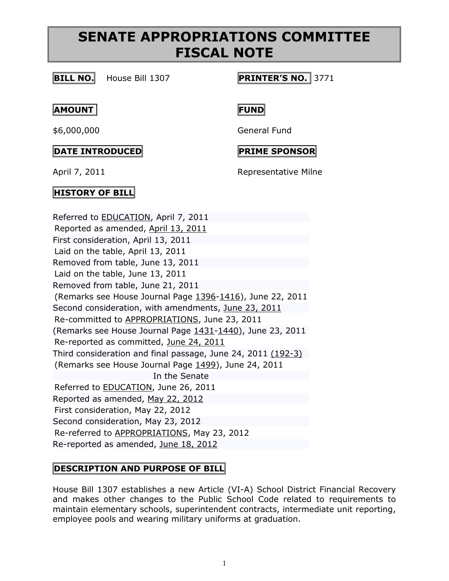### **BILL NO.** House Bill 1307 **PRINTER'S NO.** 3771

#### **AMOUNT FUND**

#### **DATE INTRODUCED PRIME SPONSOR**

\$6,000,000 General Fund

April 7, 2011 **Representative Milne** 

### **HISTORY OF BILL**

Referred to [EDUCATION,](http://www.legis.state.pa.us/cfdocs/cteeInfo/cteeInfo.cfm?cde=12&body=H) April 7, 2011 Reported as amended, [April 13, 2011](http://ldpc6.legis.state.pa.us/cfdocs/legis/RCC/PUBLIC/listVotes.cfm?sYear=2011&sInd=0&chamber=H&cteeCde=12&nbr=1307&bBody=H&type=B&theDate=04/13/2011) First consideration, April 13, 2011 Laid on the table, April 13, 2011 Removed from table, June 13, 2011 Laid on the table, June 13, 2011 Removed from table, June 21, 2011 (Remarks see House Journal Page [1396-](http://ldpc6.legis.state.pa.us/WU01/LI/HJ/2011/0/20110622.pdf#page=10)[1416\)](http://ldpc6.legis.state.pa.us/WU01/LI/HJ/2011/0/20110622.pdf#page=30), June 22, 2011 Second consideration, with amendments, [June 23, 2011](http://ldpc6.legis.state.pa.us/CFDOCS/Legis/HouseAmendments/list_amendments.cfm?chamber=H&Session=2011&sIndex=0&bBody=H&bType=B&bNumber=1307&PrintersNumber=1543) Re-committed to [APPROPRIATIONS,](http://www.legis.state.pa.us/cfdocs/cteeInfo/cteeInfo.cfm?cde=4&body=H) June 23, 2011 (Remarks see House Journal Page [1431-](http://ldpc6.legis.state.pa.us/WU01/LI/HJ/2011/0/20110623.pdf#page=7)[1440\)](http://ldpc6.legis.state.pa.us/WU01/LI/HJ/2011/0/20110623.pdf#page=16), June 23, 2011 Re-reported as committed, [June 24, 2011](http://ldpc6.legis.state.pa.us/cfdocs/legis/RCC/PUBLIC/listVotes.cfm?sYear=2011&sInd=0&chamber=H&cteeCde=4&nbr=1307&bBody=H&type=B&theDate=06/24/2011) Third consideration and final passage, June 24, 2011 [\(192-3\)](http://ldpc6.legis.state.pa.us/CFDOCS/Legis/RC/Public/rc_view_action1.cfm?sess_yr=2011&sess_ind=0&rc_body=H&bill_body=H&bill_type=B&bill_nbr=1307&rc_dte=06/24/2011) (Remarks see House Journal Page [1499\)](http://ldpc6.legis.state.pa.us/WU01/LI/HJ/2011/0/20110624.pdf#page=19), June 24, 2011 In the Senate Referred to [EDUCATION,](http://www.legis.state.pa.us/cfdocs/cteeInfo/cteeInfo.cfm?cde=23&body=S) June 26, 2011 Reported as amended, [May 22, 2012](http://ldpc6.legis.state.pa.us/cfdocs/legis/RCC/PUBLIC/listVotes.cfm?sYear=2011&sInd=0&chamber=S&cteeCde=23&nbr=1307&bBody=H&type=B&theDate=05/22/2012) First consideration, May 22, 2012 Second consideration, May 23, 2012 Re-referred to [APPROPRIATIONS,](http://www.legis.state.pa.us/cfdocs/cteeInfo/cteeInfo.cfm?cde=3&body=S) May 23, 2012 Re-reported as amended, [June 18, 2012](http://ldpc6.legis.state.pa.us/cfdocs/legis/RCC/PUBLIC/listVotes.cfm?sYear=2011&sInd=0&chamber=S&cteeCde=3&nbr=1307&bBody=H&type=B&theDate=06/18/2012)

## **DESCRIPTION AND PURPOSE OF BILL**

House Bill 1307 establishes a new Article (VI-A) School District Financial Recovery and makes other changes to the Public School Code related to requirements to maintain elementary schools, superintendent contracts, intermediate unit reporting, employee pools and wearing military uniforms at graduation.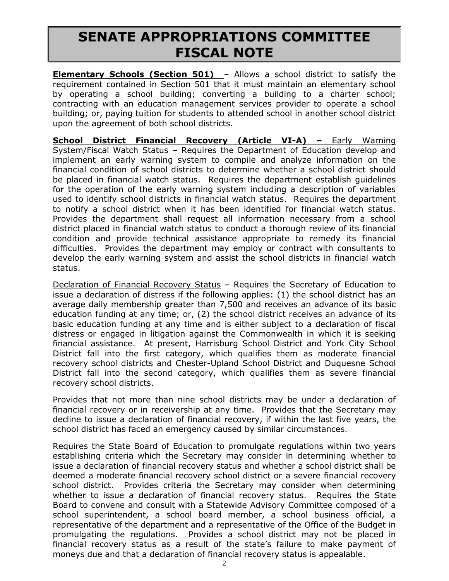**Elementary Schools (Section 501)** – Allows a school district to satisfy the requirement contained in Section 501 that it must maintain an elementary school by operating a school building; converting a building to a charter school; contracting with an education management services provider to operate a school building; or, paying tuition for students to attended school in another school district upon the agreement of both school districts.

**School District Financial Recovery (Article VI-A) –** Early Warning System/Fiscal Watch Status – Requires the Department of Education develop and implement an early warning system to compile and analyze information on the financial condition of school districts to determine whether a school district should be placed in financial watch status. Requires the department establish guidelines for the operation of the early warning system including a description of variables used to identify school districts in financial watch status. Requires the department to notify a school district when it has been identified for financial watch status. Provides the department shall request all information necessary from a school district placed in financial watch status to conduct a thorough review of its financial condition and provide technical assistance appropriate to remedy its financial difficulties. Provides the department may employ or contract with consultants to develop the early warning system and assist the school districts in financial watch status.

Declaration of Financial Recovery Status – Requires the Secretary of Education to issue a declaration of distress if the following applies: (1) the school district has an average daily membership greater than 7,500 and receives an advance of its basic education funding at any time; or, (2) the school district receives an advance of its basic education funding at any time and is either subject to a declaration of fiscal distress or engaged in litigation against the Commonwealth in which it is seeking financial assistance. At present, Harrisburg School District and York City School District fall into the first category, which qualifies them as moderate financial recovery school districts and Chester-Upland School District and Duquesne School District fall into the second category, which qualifies them as severe financial recovery school districts.

Provides that not more than nine school districts may be under a declaration of financial recovery or in receivership at any time. Provides that the Secretary may decline to issue a declaration of financial recovery, if within the last five years, the school district has faced an emergency caused by similar circumstances.

Requires the State Board of Education to promulgate regulations within two years establishing criteria which the Secretary may consider in determining whether to issue a declaration of financial recovery status and whether a school district shall be deemed a moderate financial recovery school district or a severe financial recovery school district. Provides criteria the Secretary may consider when determining whether to issue a declaration of financial recovery status. Requires the State Board to convene and consult with a Statewide Advisory Committee composed of a school superintendent, a school board member, a school business official, a representative of the department and a representative of the Office of the Budget in promulgating the regulations. Provides a school district may not be placed in financial recovery status as a result of the state's failure to make payment of moneys due and that a declaration of financial recovery status is appealable.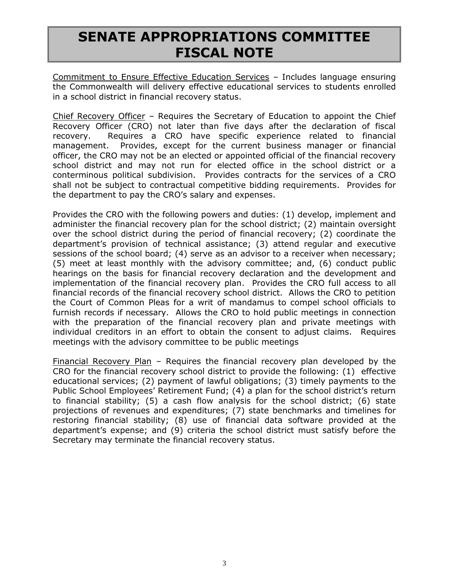Commitment to Ensure Effective Education Services – Includes language ensuring the Commonwealth will delivery effective educational services to students enrolled in a school district in financial recovery status.

Chief Recovery Officer – Requires the Secretary of Education to appoint the Chief Recovery Officer (CRO) not later than five days after the declaration of fiscal recovery. Requires a CRO have specific experience related to financial management. Provides, except for the current business manager or financial officer, the CRO may not be an elected or appointed official of the financial recovery school district and may not run for elected office in the school district or a conterminous political subdivision. Provides contracts for the services of a CRO shall not be subject to contractual competitive bidding requirements. Provides for the department to pay the CRO's salary and expenses.

Provides the CRO with the following powers and duties: (1) develop, implement and administer the financial recovery plan for the school district; (2) maintain oversight over the school district during the period of financial recovery; (2) coordinate the department's provision of technical assistance; (3) attend regular and executive sessions of the school board; (4) serve as an advisor to a receiver when necessary; (5) meet at least monthly with the advisory committee; and, (6) conduct public hearings on the basis for financial recovery declaration and the development and implementation of the financial recovery plan. Provides the CRO full access to all financial records of the financial recovery school district. Allows the CRO to petition the Court of Common Pleas for a writ of mandamus to compel school officials to furnish records if necessary. Allows the CRO to hold public meetings in connection with the preparation of the financial recovery plan and private meetings with individual creditors in an effort to obtain the consent to adjust claims. Requires meetings with the advisory committee to be public meetings

Financial Recovery Plan – Requires the financial recovery plan developed by the CRO for the financial recovery school district to provide the following: (1) effective educational services; (2) payment of lawful obligations; (3) timely payments to the Public School Employees' Retirement Fund; (4) a plan for the school district's return to financial stability; (5) a cash flow analysis for the school district; (6) state projections of revenues and expenditures; (7) state benchmarks and timelines for restoring financial stability; (8) use of financial data software provided at the department's expense; and (9) criteria the school district must satisfy before the Secretary may terminate the financial recovery status.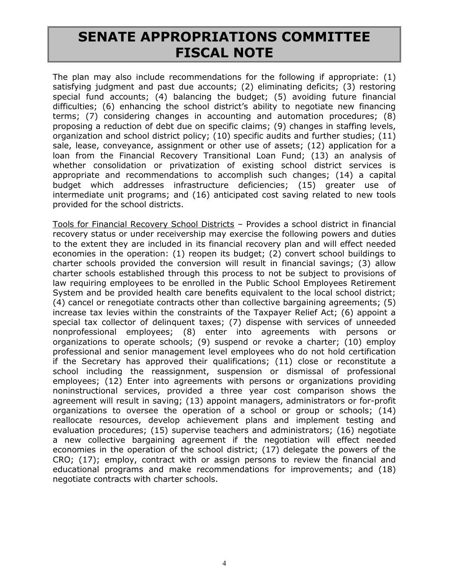The plan may also include recommendations for the following if appropriate: (1) satisfying judgment and past due accounts; (2) eliminating deficits; (3) restoring special fund accounts; (4) balancing the budget; (5) avoiding future financial difficulties; (6) enhancing the school district's ability to negotiate new financing terms; (7) considering changes in accounting and automation procedures; (8) proposing a reduction of debt due on specific claims; (9) changes in staffing levels, organization and school district policy; (10) specific audits and further studies; (11) sale, lease, conveyance, assignment or other use of assets; (12) application for a loan from the Financial Recovery Transitional Loan Fund; (13) an analysis of whether consolidation or privatization of existing school district services is appropriate and recommendations to accomplish such changes; (14) a capital budget which addresses infrastructure deficiencies; (15) greater use of intermediate unit programs; and (16) anticipated cost saving related to new tools provided for the school districts.

Tools for Financial Recovery School Districts – Provides a school district in financial recovery status or under receivership may exercise the following powers and duties to the extent they are included in its financial recovery plan and will effect needed economies in the operation: (1) reopen its budget; (2) convert school buildings to charter schools provided the conversion will result in financial savings; (3) allow charter schools established through this process to not be subject to provisions of law requiring employees to be enrolled in the Public School Employees Retirement System and be provided health care benefits equivalent to the local school district; (4) cancel or renegotiate contracts other than collective bargaining agreements; (5) increase tax levies within the constraints of the Taxpayer Relief Act; (6) appoint a special tax collector of delinquent taxes; (7) dispense with services of unneeded nonprofessional employees; (8) enter into agreements with persons or organizations to operate schools; (9) suspend or revoke a charter; (10) employ professional and senior management level employees who do not hold certification if the Secretary has approved their qualifications; (11) close or reconstitute a school including the reassignment, suspension or dismissal of professional employees; (12) Enter into agreements with persons or organizations providing noninstructional services, provided a three year cost comparison shows the agreement will result in saving; (13) appoint managers, administrators or for-profit organizations to oversee the operation of a school or group or schools; (14) reallocate resources, develop achievement plans and implement testing and evaluation procedures; (15) supervise teachers and administrators; (16) negotiate a new collective bargaining agreement if the negotiation will effect needed economies in the operation of the school district; (17) delegate the powers of the CRO; (17); employ, contract with or assign persons to review the financial and educational programs and make recommendations for improvements; and (18) negotiate contracts with charter schools.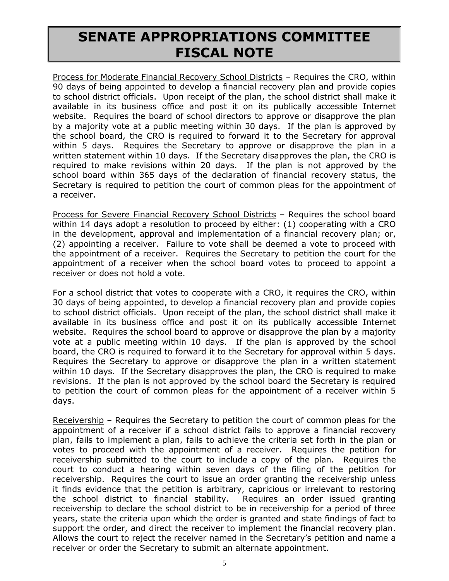Process for Moderate Financial Recovery School Districts – Requires the CRO, within 90 days of being appointed to develop a financial recovery plan and provide copies to school district officials. Upon receipt of the plan, the school district shall make it available in its business office and post it on its publically accessible Internet website. Requires the board of school directors to approve or disapprove the plan by a majority vote at a public meeting within 30 days. If the plan is approved by the school board, the CRO is required to forward it to the Secretary for approval within 5 days. Requires the Secretary to approve or disapprove the plan in a written statement within 10 days. If the Secretary disapproves the plan, the CRO is required to make revisions within 20 days. If the plan is not approved by the school board within 365 days of the declaration of financial recovery status, the Secretary is required to petition the court of common pleas for the appointment of a receiver.

Process for Severe Financial Recovery School Districts - Requires the school board within 14 days adopt a resolution to proceed by either: (1) cooperating with a CRO in the development, approval and implementation of a financial recovery plan; or, (2) appointing a receiver. Failure to vote shall be deemed a vote to proceed with the appointment of a receiver. Requires the Secretary to petition the court for the appointment of a receiver when the school board votes to proceed to appoint a receiver or does not hold a vote.

For a school district that votes to cooperate with a CRO, it requires the CRO, within 30 days of being appointed, to develop a financial recovery plan and provide copies to school district officials. Upon receipt of the plan, the school district shall make it available in its business office and post it on its publically accessible Internet website. Requires the school board to approve or disapprove the plan by a majority vote at a public meeting within 10 days. If the plan is approved by the school board, the CRO is required to forward it to the Secretary for approval within 5 days. Requires the Secretary to approve or disapprove the plan in a written statement within 10 days. If the Secretary disapproves the plan, the CRO is required to make revisions. If the plan is not approved by the school board the Secretary is required to petition the court of common pleas for the appointment of a receiver within 5 days.

Receivership – Requires the Secretary to petition the court of common pleas for the appointment of a receiver if a school district fails to approve a financial recovery plan, fails to implement a plan, fails to achieve the criteria set forth in the plan or votes to proceed with the appointment of a receiver. Requires the petition for receivership submitted to the court to include a copy of the plan. Requires the court to conduct a hearing within seven days of the filing of the petition for receivership. Requires the court to issue an order granting the receivership unless it finds evidence that the petition is arbitrary, capricious or irrelevant to restoring the school district to financial stability. Requires an order issued granting receivership to declare the school district to be in receivership for a period of three years, state the criteria upon which the order is granted and state findings of fact to support the order, and direct the receiver to implement the financial recovery plan. Allows the court to reject the receiver named in the Secretary's petition and name a receiver or order the Secretary to submit an alternate appointment.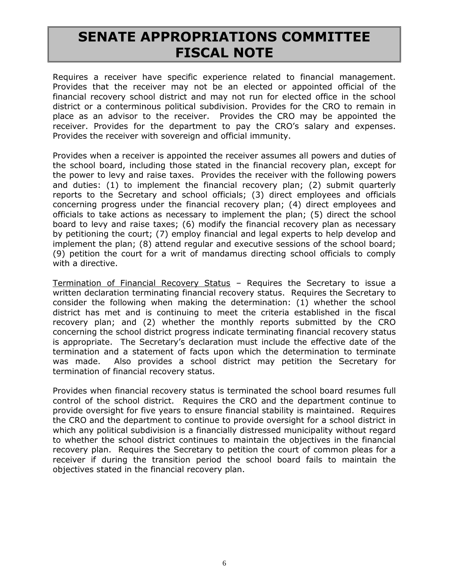Requires a receiver have specific experience related to financial management. Provides that the receiver may not be an elected or appointed official of the financial recovery school district and may not run for elected office in the school district or a conterminous political subdivision. Provides for the CRO to remain in place as an advisor to the receiver. Provides the CRO may be appointed the receiver. Provides for the department to pay the CRO's salary and expenses. Provides the receiver with sovereign and official immunity.

Provides when a receiver is appointed the receiver assumes all powers and duties of the school board, including those stated in the financial recovery plan, except for the power to levy and raise taxes. Provides the receiver with the following powers and duties: (1) to implement the financial recovery plan; (2) submit quarterly reports to the Secretary and school officials; (3) direct employees and officials concerning progress under the financial recovery plan; (4) direct employees and officials to take actions as necessary to implement the plan; (5) direct the school board to levy and raise taxes; (6) modify the financial recovery plan as necessary by petitioning the court; (7) employ financial and legal experts to help develop and implement the plan; (8) attend regular and executive sessions of the school board; (9) petition the court for a writ of mandamus directing school officials to comply with a directive.

Termination of Financial Recovery Status – Requires the Secretary to issue a written declaration terminating financial recovery status. Requires the Secretary to consider the following when making the determination: (1) whether the school district has met and is continuing to meet the criteria established in the fiscal recovery plan; and (2) whether the monthly reports submitted by the CRO concerning the school district progress indicate terminating financial recovery status is appropriate. The Secretary's declaration must include the effective date of the termination and a statement of facts upon which the determination to terminate was made. Also provides a school district may petition the Secretary for termination of financial recovery status.

Provides when financial recovery status is terminated the school board resumes full control of the school district. Requires the CRO and the department continue to provide oversight for five years to ensure financial stability is maintained. Requires the CRO and the department to continue to provide oversight for a school district in which any political subdivision is a financially distressed municipality without regard to whether the school district continues to maintain the objectives in the financial recovery plan. Requires the Secretary to petition the court of common pleas for a receiver if during the transition period the school board fails to maintain the objectives stated in the financial recovery plan.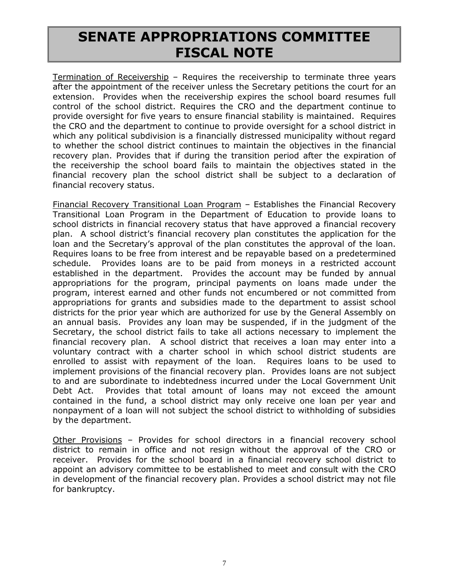Termination of Receivership – Requires the receivership to terminate three years after the appointment of the receiver unless the Secretary petitions the court for an extension. Provides when the receivership expires the school board resumes full control of the school district. Requires the CRO and the department continue to provide oversight for five years to ensure financial stability is maintained. Requires the CRO and the department to continue to provide oversight for a school district in which any political subdivision is a financially distressed municipality without regard to whether the school district continues to maintain the objectives in the financial recovery plan. Provides that if during the transition period after the expiration of the receivership the school board fails to maintain the objectives stated in the financial recovery plan the school district shall be subject to a declaration of financial recovery status.

Financial Recovery Transitional Loan Program – Establishes the Financial Recovery Transitional Loan Program in the Department of Education to provide loans to school districts in financial recovery status that have approved a financial recovery plan. A school district's financial recovery plan constitutes the application for the loan and the Secretary's approval of the plan constitutes the approval of the loan. Requires loans to be free from interest and be repayable based on a predetermined schedule. Provides loans are to be paid from moneys in a restricted account established in the department. Provides the account may be funded by annual appropriations for the program, principal payments on loans made under the program, interest earned and other funds not encumbered or not committed from appropriations for grants and subsidies made to the department to assist school districts for the prior year which are authorized for use by the General Assembly on an annual basis. Provides any loan may be suspended, if in the judgment of the Secretary, the school district fails to take all actions necessary to implement the financial recovery plan. A school district that receives a loan may enter into a voluntary contract with a charter school in which school district students are enrolled to assist with repayment of the loan. Requires loans to be used to implement provisions of the financial recovery plan. Provides loans are not subject to and are subordinate to indebtedness incurred under the Local Government Unit Debt Act. Provides that total amount of loans may not exceed the amount contained in the fund, a school district may only receive one loan per year and nonpayment of a loan will not subject the school district to withholding of subsidies by the department.

Other Provisions – Provides for school directors in a financial recovery school district to remain in office and not resign without the approval of the CRO or receiver. Provides for the school board in a financial recovery school district to appoint an advisory committee to be established to meet and consult with the CRO in development of the financial recovery plan. Provides a school district may not file for bankruptcy.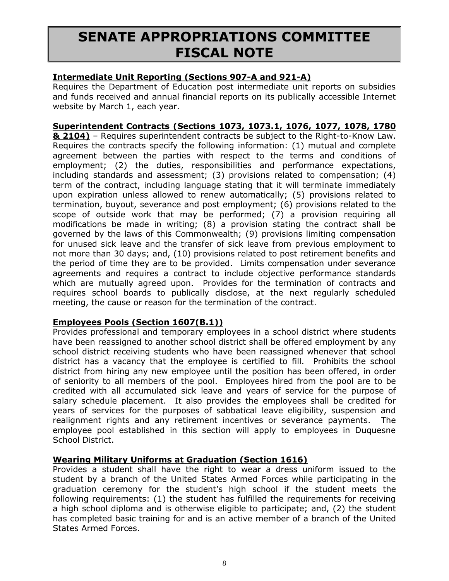#### **Intermediate Unit Reporting (Sections 907-A and 921-A)**

Requires the Department of Education post intermediate unit reports on subsidies and funds received and annual financial reports on its publically accessible Internet website by March 1, each year.

#### **Superintendent Contracts (Sections 1073, 1073.1, 1076, 1077, 1078, 1780**

**& 2104)** – Requires superintendent contracts be subject to the Right-to-Know Law. Requires the contracts specify the following information: (1) mutual and complete agreement between the parties with respect to the terms and conditions of employment; (2) the duties, responsibilities and performance expectations, including standards and assessment; (3) provisions related to compensation; (4) term of the contract, including language stating that it will terminate immediately upon expiration unless allowed to renew automatically; (5) provisions related to termination, buyout, severance and post employment; (6) provisions related to the scope of outside work that may be performed; (7) a provision requiring all modifications be made in writing; (8) a provision stating the contract shall be governed by the laws of this Commonwealth; (9) provisions limiting compensation for unused sick leave and the transfer of sick leave from previous employment to not more than 30 days; and, (10) provisions related to post retirement benefits and the period of time they are to be provided. Limits compensation under severance agreements and requires a contract to include objective performance standards which are mutually agreed upon. Provides for the termination of contracts and requires school boards to publically disclose, at the next regularly scheduled meeting, the cause or reason for the termination of the contract.

#### **Employees Pools (Section 1607(B.1))**

Provides professional and temporary employees in a school district where students have been reassigned to another school district shall be offered employment by any school district receiving students who have been reassigned whenever that school district has a vacancy that the employee is certified to fill. Prohibits the school district from hiring any new employee until the position has been offered, in order of seniority to all members of the pool. Employees hired from the pool are to be credited with all accumulated sick leave and years of service for the purpose of salary schedule placement. It also provides the employees shall be credited for years of services for the purposes of sabbatical leave eligibility, suspension and realignment rights and any retirement incentives or severance payments. The employee pool established in this section will apply to employees in Duquesne School District.

#### **Wearing Military Uniforms at Graduation (Section 1616)**

Provides a student shall have the right to wear a dress uniform issued to the student by a branch of the United States Armed Forces while participating in the graduation ceremony for the student's high school if the student meets the following requirements: (1) the student has fulfilled the requirements for receiving a high school diploma and is otherwise eligible to participate; and, (2) the student has completed basic training for and is an active member of a branch of the United States Armed Forces.